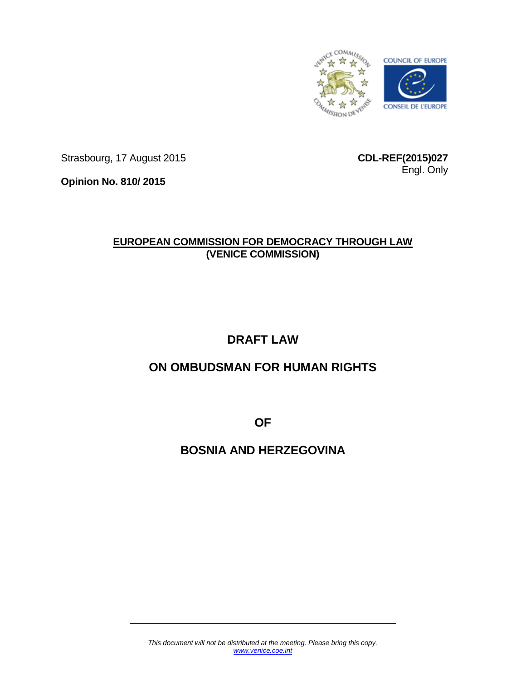

Strasbourg, 17 August 2015

**CDL-REF(2015)027** Engl. Only

**Opinion No. 810/ 2015**

## **EUROPEAN COMMISSION FOR DEMOCRACY THROUGH LAW (VENICE COMMISSION)**

# **DRAFT LAW**

# **ON OMBUDSMAN FOR HUMAN RIGHTS**

**OF** 

# **BOSNIA AND HERZEGOVINA**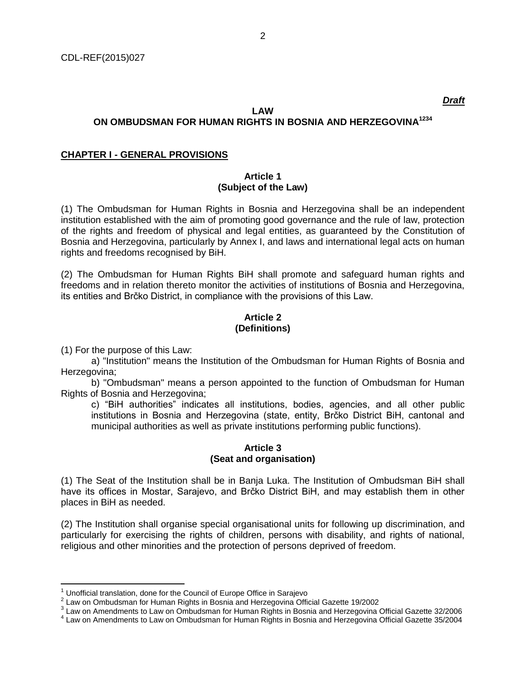2

# **ON OMBUDSMAN FOR HUMAN RIGHTS IN BOSNIA AND HERZEGOVINA<sup>1234</sup>**

## **CHAPTER I - GENERAL PROVISIONS**

## **Article 1 (Subject of the Law)**

(1) The Ombudsman for Human Rights in Bosnia and Herzegovina shall be an independent institution established with the aim of promoting good governance and the rule of law, protection of the rights and freedom of physical and legal entities, as guaranteed by the Constitution of Bosnia and Herzegovina, particularly by Annex I, and laws and international legal acts on human rights and freedoms recognised by BiH.

(2) The Ombudsman for Human Rights BiH shall promote and safeguard human rights and freedoms and in relation thereto monitor the activities of institutions of Bosnia and Herzegovina, its entities and Brčko District, in compliance with the provisions of this Law.

## **Article 2 (Definitions)**

(1) For the purpose of this Law:

a) "Institution" means the Institution of the Ombudsman for Human Rights of Bosnia and Herzegovina;

b) "Ombudsman" means a person appointed to the function of Ombudsman for Human Rights of Bosnia and Herzegovina;

c) "BiH authorities" indicates all institutions, bodies, agencies, and all other public institutions in Bosnia and Herzegovina (state, entity, Brčko District BiH, cantonal and municipal authorities as well as private institutions performing public functions).

## **Article 3 (Seat and organisation)**

(1) The Seat of the Institution shall be in Banja Luka. The Institution of Ombudsman BiH shall have its offices in Mostar, Sarajevo, and Brčko District BiH, and may establish them in other places in BiH as needed.

(2) The Institution shall organise special organisational units for following up discrimination, and particularly for exercising the rights of children, persons with disability, and rights of national, religious and other minorities and the protection of persons deprived of freedom.

 $\overline{\phantom{a}}$ <sup>1</sup> Unofficial translation, done for the Council of Europe Office in Sarajevo

 $^2$  Law on Ombudsman for Human Rights in Bosnia and Herzegovina Official Gazette 19/2002

<sup>3</sup> Law on Amendments to Law on Ombudsman for Human Rights in Bosnia and Herzegovina Official Gazette 32/2006

<sup>4</sup> Law on Amendments to Law on Ombudsman for Human Rights in Bosnia and Herzegovina Official Gazette 35/2004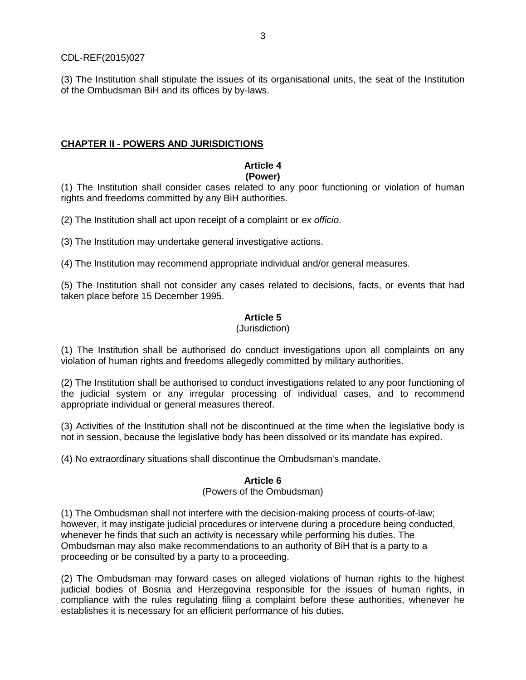(3) The Institution shall stipulate the issues of its organisational units, the seat of the Institution of the Ombudsman BiH and its offices by by-laws.

## **CHAPTER II - POWERS AND JURISDICTIONS**

## **Article 4**

## **(Power)**

(1) The Institution shall consider cases related to any poor functioning or violation of human rights and freedoms committed by any BiH authorities.

(2) The Institution shall act upon receipt of a complaint or *ex officio*.

(3) The Institution may undertake general investigative actions.

(4) The Institution may recommend appropriate individual and/or general measures.

(5) The Institution shall not consider any cases related to decisions, facts, or events that had taken place before 15 December 1995.

## **Article 5**

## (Jurisdiction)

(1) The Institution shall be authorised do conduct investigations upon all complaints on any violation of human rights and freedoms allegedly committed by military authorities.

(2) The Institution shall be authorised to conduct investigations related to any poor functioning of the judicial system or any irregular processing of individual cases, and to recommend appropriate individual or general measures thereof.

(3) Activities of the Institution shall not be discontinued at the time when the legislative body is not in session, because the legislative body has been dissolved or its mandate has expired.

(4) No extraordinary situations shall discontinue the Ombudsman's mandate.

## **Article 6**

## (Powers of the Ombudsman)

(1) The Ombudsman shall not interfere with the decision-making process of courts-of-law; however, it may instigate judicial procedures or intervene during a procedure being conducted, whenever he finds that such an activity is necessary while performing his duties. The Ombudsman may also make recommendations to an authority of BiH that is a party to a proceeding or be consulted by a party to a proceeding.

(2) The Ombudsman may forward cases on alleged violations of human rights to the highest judicial bodies of Bosnia and Herzegovina responsible for the issues of human rights, in compliance with the rules regulating filing a complaint before these authorities, whenever he establishes it is necessary for an efficient performance of his duties.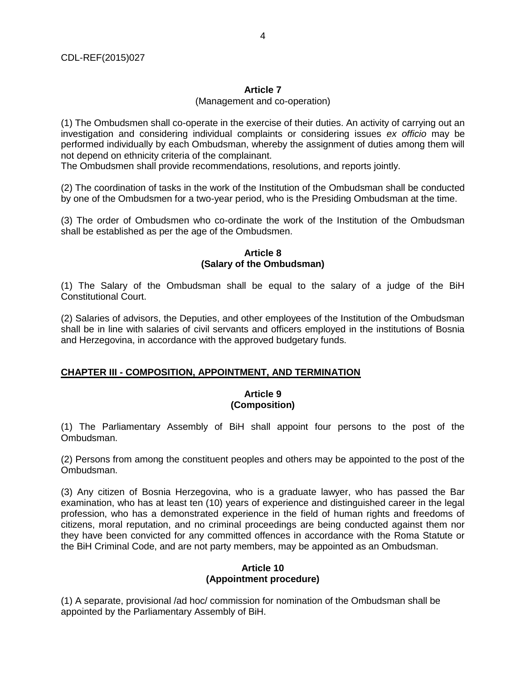## **Article 7**

## (Management and co-operation)

(1) The Ombudsmen shall co-operate in the exercise of their duties. An activity of carrying out an investigation and considering individual complaints or considering issues *ex officio* may be performed individually by each Ombudsman, whereby the assignment of duties among them will not depend on ethnicity criteria of the complainant.

The Ombudsmen shall provide recommendations, resolutions, and reports jointly.

(2) The coordination of tasks in the work of the Institution of the Ombudsman shall be conducted by one of the Ombudsmen for a two-year period, who is the Presiding Ombudsman at the time.

(3) The order of Ombudsmen who co-ordinate the work of the Institution of the Ombudsman shall be established as per the age of the Ombudsmen.

## **Article 8 (Salary of the Ombudsman)**

(1) The Salary of the Ombudsman shall be equal to the salary of a judge of the BiH Constitutional Court.

(2) Salaries of advisors, the Deputies, and other employees of the Institution of the Ombudsman shall be in line with salaries of civil servants and officers employed in the institutions of Bosnia and Herzegovina, in accordance with the approved budgetary funds.

## **CHAPTER III - COMPOSITION, APPOINTMENT, AND TERMINATION**

## **Article 9 (Composition)**

(1) The Parliamentary Assembly of BiH shall appoint four persons to the post of the Ombudsman.

(2) Persons from among the constituent peoples and others may be appointed to the post of the Ombudsman.

(3) Any citizen of Bosnia Herzegovina, who is a graduate lawyer, who has passed the Bar examination, who has at least ten (10) years of experience and distinguished career in the legal profession, who has a demonstrated experience in the field of human rights and freedoms of citizens, moral reputation, and no criminal proceedings are being conducted against them nor they have been convicted for any committed offences in accordance with the Roma Statute or the BiH Criminal Code, and are not party members, may be appointed as an Ombudsman.

## **Article 10 (Appointment procedure)**

(1) A separate, provisional /ad hoc/ commission for nomination of the Ombudsman shall be appointed by the Parliamentary Assembly of BiH.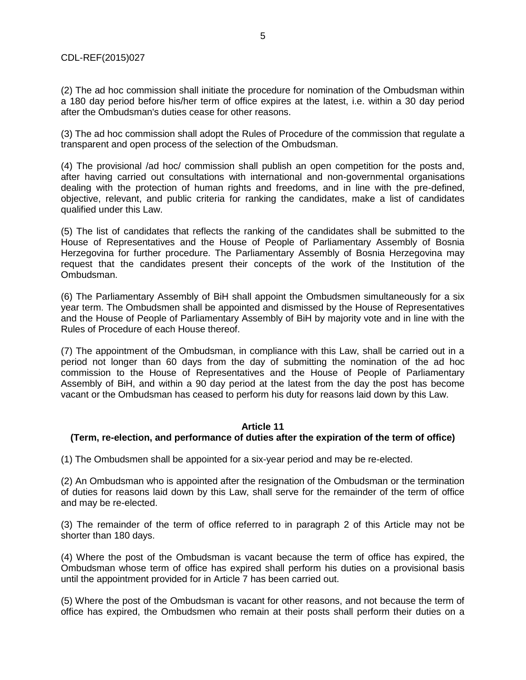(2) The ad hoc commission shall initiate the procedure for nomination of the Ombudsman within a 180 day period before his/her term of office expires at the latest, i.e. within a 30 day period after the Ombudsman's duties cease for other reasons.

(3) The ad hoc commission shall adopt the Rules of Procedure of the commission that regulate a transparent and open process of the selection of the Ombudsman.

(4) The provisional /ad hoc/ commission shall publish an open competition for the posts and, after having carried out consultations with international and non-governmental organisations dealing with the protection of human rights and freedoms, and in line with the pre-defined, objective, relevant, and public criteria for ranking the candidates, make a list of candidates qualified under this Law.

(5) The list of candidates that reflects the ranking of the candidates shall be submitted to the House of Representatives and the House of People of Parliamentary Assembly of Bosnia Herzegovina for further procedure. The Parliamentary Assembly of Bosnia Herzegovina may request that the candidates present their concepts of the work of the Institution of the Ombudsman.

(6) The Parliamentary Assembly of BiH shall appoint the Ombudsmen simultaneously for a six year term. The Ombudsmen shall be appointed and dismissed by the House of Representatives and the House of People of Parliamentary Assembly of BiH by majority vote and in line with the Rules of Procedure of each House thereof.

(7) The appointment of the Ombudsman, in compliance with this Law, shall be carried out in a period not longer than 60 days from the day of submitting the nomination of the ad hoc commission to the House of Representatives and the House of People of Parliamentary Assembly of BiH, and within a 90 day period at the latest from the day the post has become vacant or the Ombudsman has ceased to perform his duty for reasons laid down by this Law.

## **Article 11**

## **(Term, re-election, and performance of duties after the expiration of the term of office)**

(1) The Ombudsmen shall be appointed for a six-year period and may be re-elected.

(2) An Ombudsman who is appointed after the resignation of the Ombudsman or the termination of duties for reasons laid down by this Law, shall serve for the remainder of the term of office and may be re-elected.

(3) The remainder of the term of office referred to in paragraph 2 of this Article may not be shorter than 180 days.

(4) Where the post of the Ombudsman is vacant because the term of office has expired, the Ombudsman whose term of office has expired shall perform his duties on a provisional basis until the appointment provided for in Article 7 has been carried out.

(5) Where the post of the Ombudsman is vacant for other reasons, and not because the term of office has expired, the Ombudsmen who remain at their posts shall perform their duties on a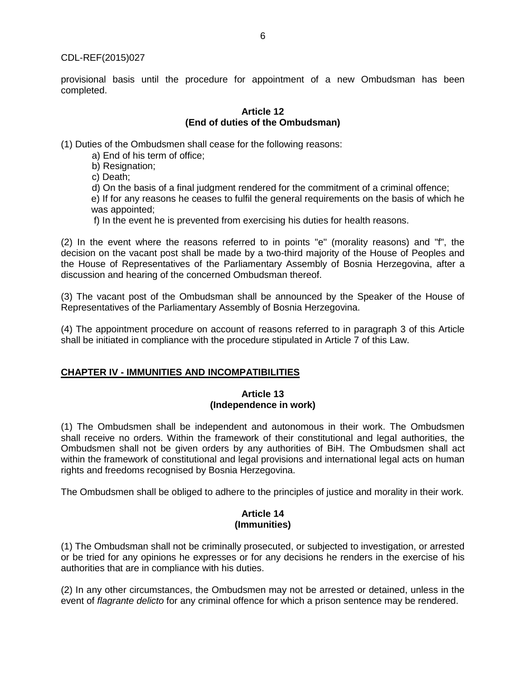provisional basis until the procedure for appointment of a new Ombudsman has been completed.

#### **Article 12 (End of duties of the Ombudsman)**

(1) Duties of the Ombudsmen shall cease for the following reasons:

a) End of his term of office;

b) Resignation;

c) Death;

d) On the basis of a final judgment rendered for the commitment of a criminal offence;

e) If for any reasons he ceases to fulfil the general requirements on the basis of which he was appointed;

f) In the event he is prevented from exercising his duties for health reasons.

(2) In the event where the reasons referred to in points "e" (morality reasons) and "f", the decision on the vacant post shall be made by a two-third majority of the House of Peoples and the House of Representatives of the Parliamentary Assembly of Bosnia Herzegovina, after a discussion and hearing of the concerned Ombudsman thereof.

(3) The vacant post of the Ombudsman shall be announced by the Speaker of the House of Representatives of the Parliamentary Assembly of Bosnia Herzegovina.

(4) The appointment procedure on account of reasons referred to in paragraph 3 of this Article shall be initiated in compliance with the procedure stipulated in Article 7 of this Law.

## **CHAPTER IV - IMMUNITIES AND INCOMPATIBILITIES**

## **Article 13 (Independence in work)**

(1) The Ombudsmen shall be independent and autonomous in their work. The Ombudsmen shall receive no orders. Within the framework of their constitutional and legal authorities, the Ombudsmen shall not be given orders by any authorities of BiH. The Ombudsmen shall act within the framework of constitutional and legal provisions and international legal acts on human rights and freedoms recognised by Bosnia Herzegovina.

The Ombudsmen shall be obliged to adhere to the principles of justice and morality in their work.

## **Article 14 (Immunities)**

(1) The Ombudsman shall not be criminally prosecuted, or subjected to investigation, or arrested or be tried for any opinions he expresses or for any decisions he renders in the exercise of his authorities that are in compliance with his duties.

(2) In any other circumstances, the Ombudsmen may not be arrested or detained, unless in the event of *flagrante delicto* for any criminal offence for which a prison sentence may be rendered.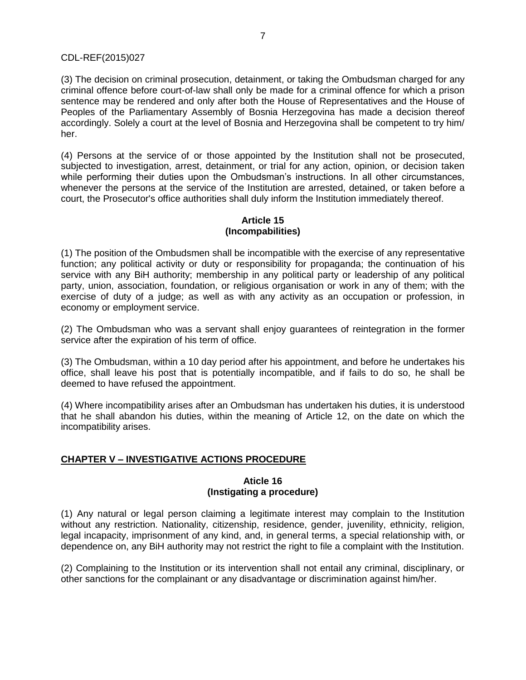(3) The decision on criminal prosecution, detainment, or taking the Ombudsman charged for any criminal offence before court-of-law shall only be made for a criminal offence for which a prison sentence may be rendered and only after both the House of Representatives and the House of Peoples of the Parliamentary Assembly of Bosnia Herzegovina has made a decision thereof accordingly. Solely a court at the level of Bosnia and Herzegovina shall be competent to try him/ her.

(4) Persons at the service of or those appointed by the Institution shall not be prosecuted, subjected to investigation, arrest, detainment, or trial for any action, opinion, or decision taken while performing their duties upon the Ombudsman's instructions. In all other circumstances, whenever the persons at the service of the Institution are arrested, detained, or taken before a court, the Prosecutor's office authorities shall duly inform the Institution immediately thereof.

## **Article 15 (Incompabilities)**

(1) The position of the Ombudsmen shall be incompatible with the exercise of any representative function; any political activity or duty or responsibility for propaganda; the continuation of his service with any BiH authority; membership in any political party or leadership of any political party, union, association, foundation, or religious organisation or work in any of them; with the exercise of duty of a judge; as well as with any activity as an occupation or profession, in economy or employment service.

(2) The Ombudsman who was a servant shall enjoy guarantees of reintegration in the former service after the expiration of his term of office.

(3) The Ombudsman, within a 10 day period after his appointment, and before he undertakes his office, shall leave his post that is potentially incompatible, and if fails to do so, he shall be deemed to have refused the appointment.

(4) Where incompatibility arises after an Ombudsman has undertaken his duties, it is understood that he shall abandon his duties, within the meaning of Article 12, on the date on which the incompatibility arises.

## **CHAPTER V – INVESTIGATIVE ACTIONS PROCEDURE**

## **Aticle 16 (Instigating a procedure)**

(1) Any natural or legal person claiming a legitimate interest may complain to the Institution without any restriction. Nationality, citizenship, residence, gender, juvenility, ethnicity, religion, legal incapacity, imprisonment of any kind, and, in general terms, a special relationship with, or dependence on, any BiH authority may not restrict the right to file a complaint with the Institution.

(2) Complaining to the Institution or its intervention shall not entail any criminal, disciplinary, or other sanctions for the complainant or any disadvantage or discrimination against him/her.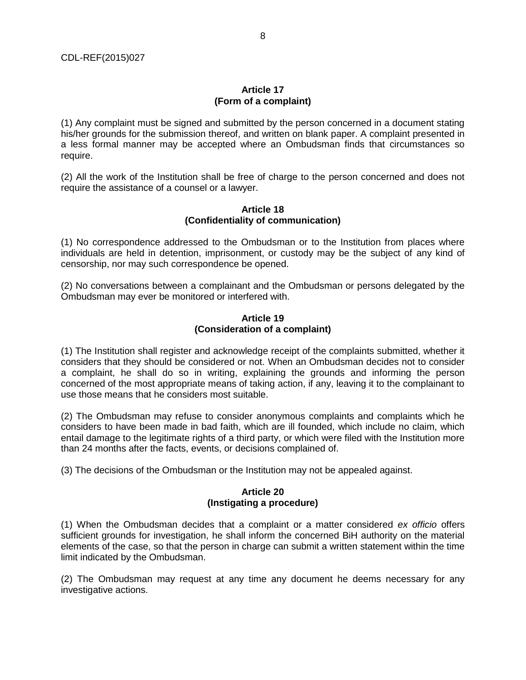## **Article 17 (Form of a complaint)**

(1) Any complaint must be signed and submitted by the person concerned in a document stating his/her grounds for the submission thereof, and written on blank paper. A complaint presented in a less formal manner may be accepted where an Ombudsman finds that circumstances so require.

(2) All the work of the Institution shall be free of charge to the person concerned and does not require the assistance of a counsel or a lawyer.

## **Article 18 (Confidentiality of communication)**

(1) No correspondence addressed to the Ombudsman or to the Institution from places where individuals are held in detention, imprisonment, or custody may be the subject of any kind of censorship, nor may such correspondence be opened.

(2) No conversations between a complainant and the Ombudsman or persons delegated by the Ombudsman may ever be monitored or interfered with.

## **Article 19 (Consideration of a complaint)**

(1) The Institution shall register and acknowledge receipt of the complaints submitted, whether it considers that they should be considered or not. When an Ombudsman decides not to consider a complaint, he shall do so in writing, explaining the grounds and informing the person concerned of the most appropriate means of taking action, if any, leaving it to the complainant to use those means that he considers most suitable.

(2) The Ombudsman may refuse to consider anonymous complaints and complaints which he considers to have been made in bad faith, which are ill founded, which include no claim, which entail damage to the legitimate rights of a third party, or which were filed with the Institution more than 24 months after the facts, events, or decisions complained of.

(3) The decisions of the Ombudsman or the Institution may not be appealed against.

## **Article 20 (Instigating a procedure)**

(1) When the Ombudsman decides that a complaint or a matter considered *ex officio* offers sufficient grounds for investigation, he shall inform the concerned BiH authority on the material elements of the case, so that the person in charge can submit a written statement within the time limit indicated by the Ombudsman.

(2) The Ombudsman may request at any time any document he deems necessary for any investigative actions.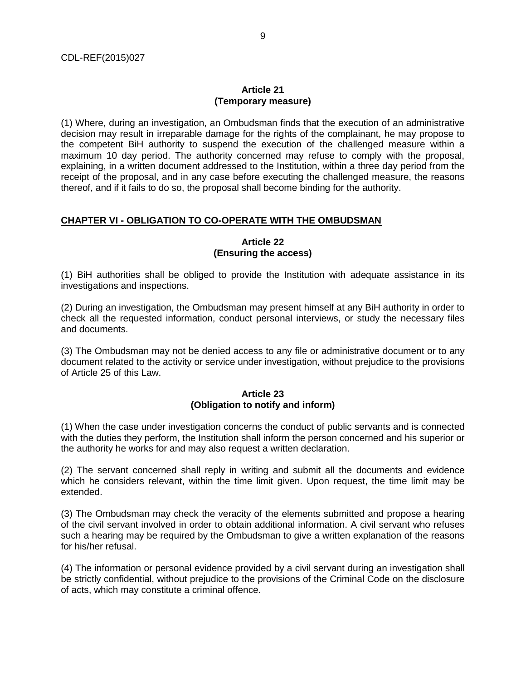#### **Article 21 (Temporary measure)**

(1) Where, during an investigation, an Ombudsman finds that the execution of an administrative decision may result in irreparable damage for the rights of the complainant, he may propose to the competent BiH authority to suspend the execution of the challenged measure within a maximum 10 day period. The authority concerned may refuse to comply with the proposal, explaining, in a written document addressed to the Institution, within a three day period from the receipt of the proposal, and in any case before executing the challenged measure, the reasons thereof, and if it fails to do so, the proposal shall become binding for the authority.

## **CHAPTER VI - OBLIGATION TO CO-OPERATE WITH THE OMBUDSMAN**

## **Article 22 (Ensuring the access)**

(1) BiH authorities shall be obliged to provide the Institution with adequate assistance in its investigations and inspections.

(2) During an investigation, the Ombudsman may present himself at any BiH authority in order to check all the requested information, conduct personal interviews, or study the necessary files and documents.

(3) The Ombudsman may not be denied access to any file or administrative document or to any document related to the activity or service under investigation, without prejudice to the provisions of Article 25 of this Law.

## **Article 23 (Obligation to notify and inform)**

(1) When the case under investigation concerns the conduct of public servants and is connected with the duties they perform, the Institution shall inform the person concerned and his superior or the authority he works for and may also request a written declaration.

(2) The servant concerned shall reply in writing and submit all the documents and evidence which he considers relevant, within the time limit given. Upon request, the time limit may be extended.

(3) The Ombudsman may check the veracity of the elements submitted and propose a hearing of the civil servant involved in order to obtain additional information. A civil servant who refuses such a hearing may be required by the Ombudsman to give a written explanation of the reasons for his/her refusal.

(4) The information or personal evidence provided by a civil servant during an investigation shall be strictly confidential, without prejudice to the provisions of the Criminal Code on the disclosure of acts, which may constitute a criminal offence.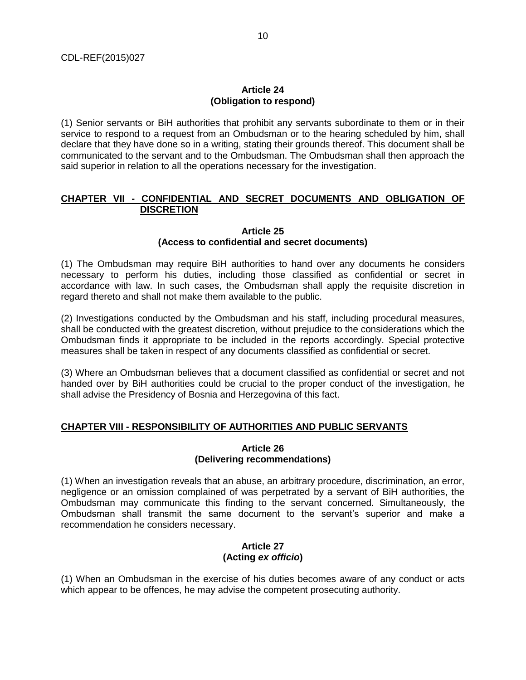#### **Article 24 (Obligation to respond)**

(1) Senior servants or BiH authorities that prohibit any servants subordinate to them or in their service to respond to a request from an Ombudsman or to the hearing scheduled by him, shall declare that they have done so in a writing, stating their grounds thereof. This document shall be communicated to the servant and to the Ombudsman. The Ombudsman shall then approach the said superior in relation to all the operations necessary for the investigation.

## **CHAPTER VII - CONFIDENTIAL AND SECRET DOCUMENTS AND OBLIGATION OF DISCRETION**

#### **Article 25 (Access to confidential and secret documents)**

(1) The Ombudsman may require BiH authorities to hand over any documents he considers necessary to perform his duties, including those classified as confidential or secret in accordance with law. In such cases, the Ombudsman shall apply the requisite discretion in regard thereto and shall not make them available to the public.

(2) Investigations conducted by the Ombudsman and his staff, including procedural measures, shall be conducted with the greatest discretion, without prejudice to the considerations which the Ombudsman finds it appropriate to be included in the reports accordingly. Special protective measures shall be taken in respect of any documents classified as confidential or secret.

(3) Where an Ombudsman believes that a document classified as confidential or secret and not handed over by BiH authorities could be crucial to the proper conduct of the investigation, he shall advise the Presidency of Bosnia and Herzegovina of this fact.

## **CHAPTER VIII - RESPONSIBILITY OF AUTHORITIES AND PUBLIC SERVANTS**

#### **Article 26 (Delivering recommendations)**

(1) When an investigation reveals that an abuse, an arbitrary procedure, discrimination, an error, negligence or an omission complained of was perpetrated by a servant of BiH authorities, the Ombudsman may communicate this finding to the servant concerned. Simultaneously, the Ombudsman shall transmit the same document to the servant's superior and make a recommendation he considers necessary.

## **Article 27 (Acting** *ex officio***)**

(1) When an Ombudsman in the exercise of his duties becomes aware of any conduct or acts which appear to be offences, he may advise the competent prosecuting authority.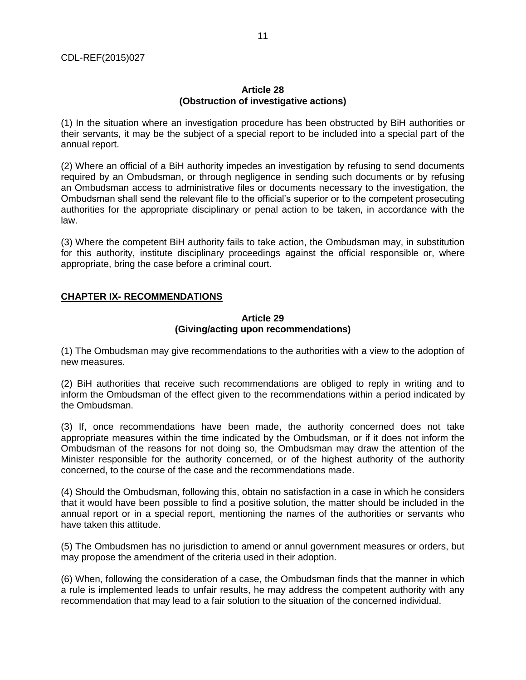## **Article 28 (Obstruction of investigative actions)**

(1) In the situation where an investigation procedure has been obstructed by BiH authorities or their servants, it may be the subject of a special report to be included into a special part of the annual report.

(2) Where an official of a BiH authority impedes an investigation by refusing to send documents required by an Ombudsman, or through negligence in sending such documents or by refusing an Ombudsman access to administrative files or documents necessary to the investigation, the Ombudsman shall send the relevant file to the official's superior or to the competent prosecuting authorities for the appropriate disciplinary or penal action to be taken, in accordance with the law.

(3) Where the competent BiH authority fails to take action, the Ombudsman may, in substitution for this authority, institute disciplinary proceedings against the official responsible or, where appropriate, bring the case before a criminal court.

## **CHAPTER IX- RECOMMENDATIONS**

#### **Article 29 (Giving/acting upon recommendations)**

(1) The Ombudsman may give recommendations to the authorities with a view to the adoption of new measures.

(2) BiH authorities that receive such recommendations are obliged to reply in writing and to inform the Ombudsman of the effect given to the recommendations within a period indicated by the Ombudsman.

(3) If, once recommendations have been made, the authority concerned does not take appropriate measures within the time indicated by the Ombudsman, or if it does not inform the Ombudsman of the reasons for not doing so, the Ombudsman may draw the attention of the Minister responsible for the authority concerned, or of the highest authority of the authority concerned, to the course of the case and the recommendations made.

(4) Should the Ombudsman, following this, obtain no satisfaction in a case in which he considers that it would have been possible to find a positive solution, the matter should be included in the annual report or in a special report, mentioning the names of the authorities or servants who have taken this attitude.

(5) The Ombudsmen has no jurisdiction to amend or annul government measures or orders, but may propose the amendment of the criteria used in their adoption.

(6) When, following the consideration of a case, the Ombudsman finds that the manner in which a rule is implemented leads to unfair results, he may address the competent authority with any recommendation that may lead to a fair solution to the situation of the concerned individual.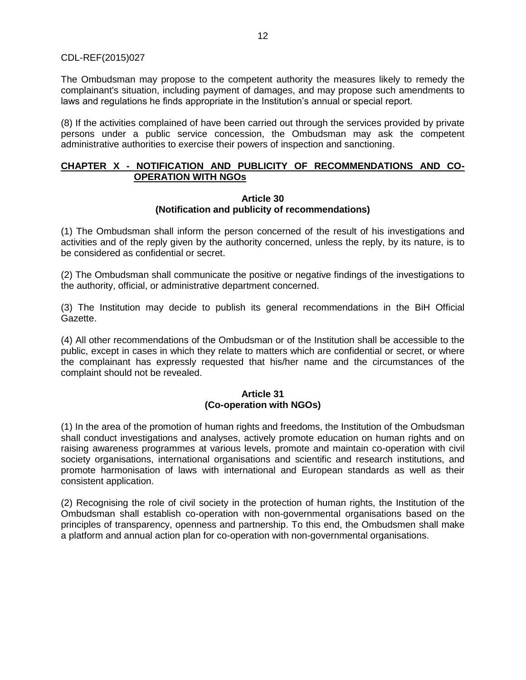The Ombudsman may propose to the competent authority the measures likely to remedy the complainant's situation, including payment of damages, and may propose such amendments to laws and regulations he finds appropriate in the Institution's annual or special report.

(8) If the activities complained of have been carried out through the services provided by private persons under a public service concession, the Ombudsman may ask the competent administrative authorities to exercise their powers of inspection and sanctioning.

## **CHAPTER X - NOTIFICATION AND PUBLICITY OF RECOMMENDATIONS AND CO-OPERATION WITH NGOs**

#### **Article 30 (Notification and publicity of recommendations)**

(1) The Ombudsman shall inform the person concerned of the result of his investigations and activities and of the reply given by the authority concerned, unless the reply, by its nature, is to be considered as confidential or secret.

(2) The Ombudsman shall communicate the positive or negative findings of the investigations to the authority, official, or administrative department concerned.

(3) The Institution may decide to publish its general recommendations in the BiH Official Gazette.

(4) All other recommendations of the Ombudsman or of the Institution shall be accessible to the public, except in cases in which they relate to matters which are confidential or secret, or where the complainant has expressly requested that his/her name and the circumstances of the complaint should not be revealed.

## **Article 31 (Co-operation with NGOs)**

(1) In the area of the promotion of human rights and freedoms, the Institution of the Ombudsman shall conduct investigations and analyses, actively promote education on human rights and on raising awareness programmes at various levels, promote and maintain co-operation with civil society organisations, international organisations and scientific and research institutions, and promote harmonisation of laws with international and European standards as well as their consistent application.

(2) Recognising the role of civil society in the protection of human rights, the Institution of the Ombudsman shall establish co-operation with non-governmental organisations based on the principles of transparency, openness and partnership. To this end, the Ombudsmen shall make a platform and annual action plan for co-operation with non-governmental organisations.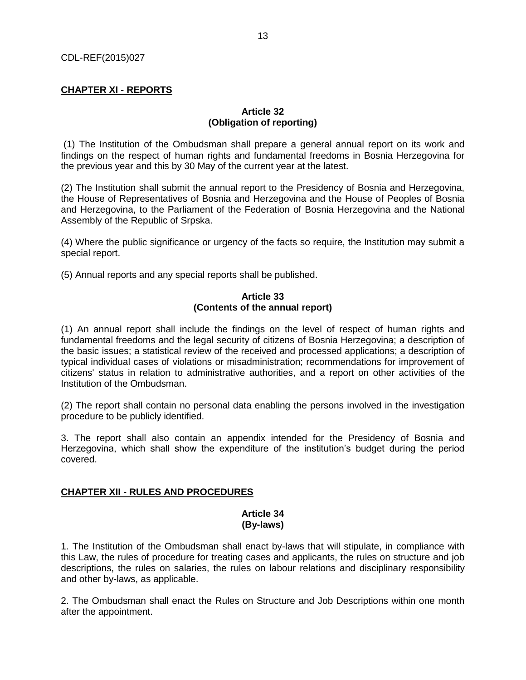## **CHAPTER XI - REPORTS**

## **Article 32 (Obligation of reporting)**

(1) The Institution of the Ombudsman shall prepare a general annual report on its work and findings on the respect of human rights and fundamental freedoms in Bosnia Herzegovina for the previous year and this by 30 May of the current year at the latest.

(2) The Institution shall submit the annual report to the Presidency of Bosnia and Herzegovina, the House of Representatives of Bosnia and Herzegovina and the House of Peoples of Bosnia and Herzegovina, to the Parliament of the Federation of Bosnia Herzegovina and the National Assembly of the Republic of Srpska.

(4) Where the public significance or urgency of the facts so require, the Institution may submit a special report.

(5) Annual reports and any special reports shall be published.

#### **Article 33 (Contents of the annual report)**

(1) An annual report shall include the findings on the level of respect of human rights and fundamental freedoms and the legal security of citizens of Bosnia Herzegovina; a description of the basic issues; a statistical review of the received and processed applications; a description of typical individual cases of violations or misadministration; recommendations for improvement of citizens' status in relation to administrative authorities, and a report on other activities of the Institution of the Ombudsman.

(2) The report shall contain no personal data enabling the persons involved in the investigation procedure to be publicly identified.

3. The report shall also contain an appendix intended for the Presidency of Bosnia and Herzegovina, which shall show the expenditure of the institution's budget during the period covered.

## **CHAPTER XII - RULES AND PROCEDURES**

## **Article 34 (By-laws)**

1. The Institution of the Ombudsman shall enact by-laws that will stipulate, in compliance with this Law, the rules of procedure for treating cases and applicants, the rules on structure and job descriptions, the rules on salaries, the rules on labour relations and disciplinary responsibility and other by-laws, as applicable.

2. The Ombudsman shall enact the Rules on Structure and Job Descriptions within one month after the appointment.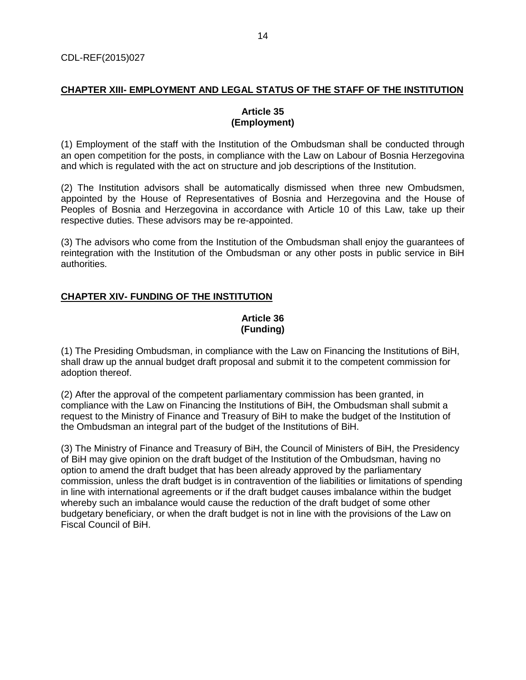## **CHAPTER XIII- EMPLOYMENT AND LEGAL STATUS OF THE STAFF OF THE INSTITUTION**

## **Article 35 (Employment)**

(1) Employment of the staff with the Institution of the Ombudsman shall be conducted through an open competition for the posts, in compliance with the Law on Labour of Bosnia Herzegovina and which is regulated with the act on structure and job descriptions of the Institution.

(2) The Institution advisors shall be automatically dismissed when three new Ombudsmen, appointed by the House of Representatives of Bosnia and Herzegovina and the House of Peoples of Bosnia and Herzegovina in accordance with Article 10 of this Law, take up their respective duties. These advisors may be re-appointed.

(3) The advisors who come from the Institution of the Ombudsman shall enjoy the guarantees of reintegration with the Institution of the Ombudsman or any other posts in public service in BiH authorities.

## **CHAPTER XIV- FUNDING OF THE INSTITUTION**

## **Article 36 (Funding)**

(1) The Presiding Ombudsman, in compliance with the Law on Financing the Institutions of BiH, shall draw up the annual budget draft proposal and submit it to the competent commission for adoption thereof.

(2) After the approval of the competent parliamentary commission has been granted, in compliance with the Law on Financing the Institutions of BiH, the Ombudsman shall submit a request to the Ministry of Finance and Treasury of BiH to make the budget of the Institution of the Ombudsman an integral part of the budget of the Institutions of BiH.

(3) The Ministry of Finance and Treasury of BiH, the Council of Ministers of BiH, the Presidency of BiH may give opinion on the draft budget of the Institution of the Ombudsman, having no option to amend the draft budget that has been already approved by the parliamentary commission, unless the draft budget is in contravention of the liabilities or limitations of spending in line with international agreements or if the draft budget causes imbalance within the budget whereby such an imbalance would cause the reduction of the draft budget of some other budgetary beneficiary, or when the draft budget is not in line with the provisions of the Law on Fiscal Council of BiH.